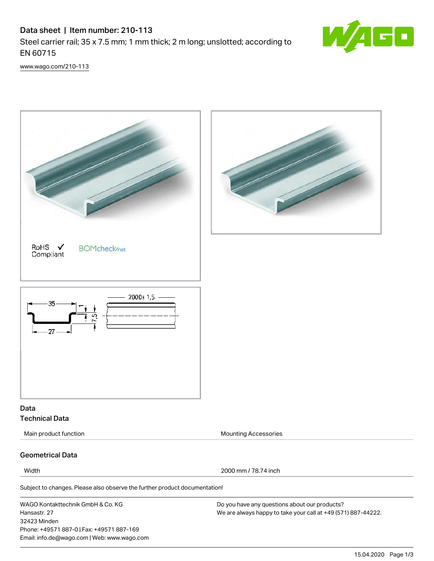# Data sheet | Item number: 210-113 Steel carrier rail; 35 x 7.5 mm; 1 mm thick; 2 m long; unslotted; according to EN 60715



[www.wago.com/210-113](http://www.wago.com/210-113)



Subject to changes. Please also observe the further product documentation!

WAGO Kontakttechnik GmbH & Co. KG Hansastr. 27 32423 Minden Phone: +49571 887-0 | Fax: +49571 887-169 Email: info.de@wago.com | Web: www.wago.com

Do you have any questions about our products? We are always happy to take your call at +49 (571) 887-44222.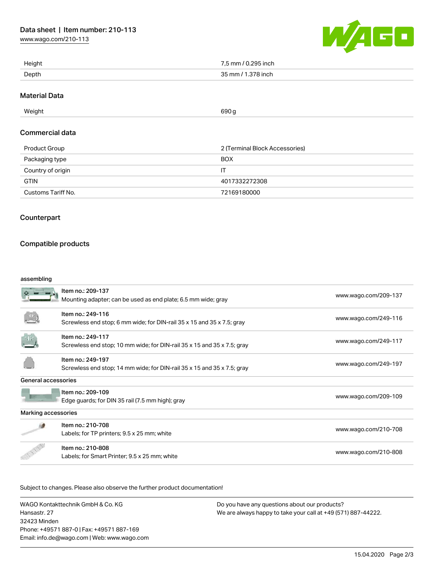[www.wago.com/210-113](http://www.wago.com/210-113)



| Height | 7.5 mm / 0.295 inch |
|--------|---------------------|
| Depth  | 35 mm / 1.378 inch  |

### Material Data

 $\blacksquare$  Weight  $690\,\mathrm{g}$ 

# Commercial data

| Product Group      | 2 (Terminal Block Accessories) |  |
|--------------------|--------------------------------|--|
| Packaging type     | <b>BOX</b>                     |  |
| Country of origin  | П                              |  |
| <b>GTIN</b>        | 4017332272308                  |  |
| Customs Tariff No. | 72169180000                    |  |

# Counterpart

# Compatible products

#### assembling

|                     | Item no.: 209-137<br>Mounting adapter; can be used as end plate; 6.5 mm wide; gray           | www.wago.com/209-137 |
|---------------------|----------------------------------------------------------------------------------------------|----------------------|
|                     | Item no.: 249-116<br>Screwless end stop; 6 mm wide; for DIN-rail 35 x 15 and 35 x 7.5; gray  | www.wago.com/249-116 |
|                     | Item no.: 249-117<br>Screwless end stop; 10 mm wide; for DIN-rail 35 x 15 and 35 x 7.5; gray | www.wago.com/249-117 |
|                     | Item no.: 249-197<br>Screwless end stop; 14 mm wide; for DIN-rail 35 x 15 and 35 x 7.5; gray | www.wago.com/249-197 |
| General accessories |                                                                                              |                      |
|                     | Item no.: 209-109<br>Edge guards; for DIN 35 rail (7.5 mm high); gray                        | www.wago.com/209-109 |
| Marking accessories |                                                                                              |                      |
|                     | Item no.: 210-708<br>Labels; for TP printers; 9.5 x 25 mm; white                             | www.wago.com/210-708 |
|                     | Item no.: 210-808<br>Labels; for Smart Printer; 9.5 x 25 mm; white                           | www.wago.com/210-808 |

.<br>Subject to changes. Please also observe the further product documentation!

WAGO Kontakttechnik GmbH & Co. KG Hansastr. 27 32423 Minden Phone: +49571 887-0 | Fax: +49571 887-169 Email: info.de@wago.com | Web: www.wago.com Do you have any questions about our products? We are always happy to take your call at +49 (571) 887-44222.